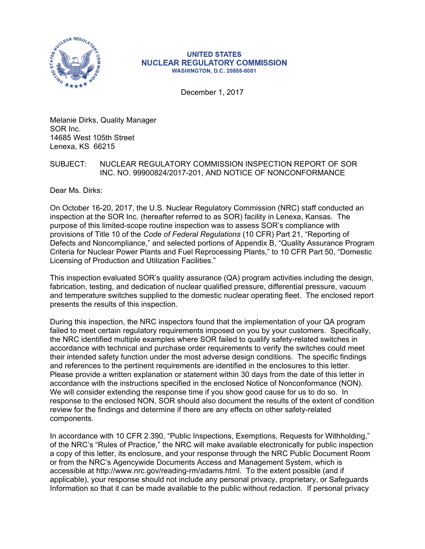

#### **UNITED STATES NUCLEAR REGULATORY COMMISSION WASHINGTON, D.C. 20555-0001**

December 1, 2017

Melanie Dirks, Quality Manager SOR Inc. 14685 West 105th Street Lenexa, KS 66215

# SUBJECT: NUCLEAR REGULATORY COMMISSION INSPECTION REPORT OF SOR INC. NO. 99900824/2017-201, AND NOTICE OF NONCONFORMANCE

Dear Ms. Dirks:

On October 16-20, 2017, the U.S. Nuclear Regulatory Commission (NRC) staff conducted an inspection at the SOR Inc. (hereafter referred to as SOR) facility in Lenexa, Kansas. The purpose of this limited-scope routine inspection was to assess SOR's compliance with provisions of Title 10 of the *Code of Federal Regulations* (10 CFR) Part 21, "Reporting of Defects and Noncompliance," and selected portions of Appendix B, "Quality Assurance Program Criteria for Nuclear Power Plants and Fuel Reprocessing Plants," to 10 CFR Part 50, "Domestic Licensing of Production and Utilization Facilities."

This inspection evaluated SOR's quality assurance (QA) program activities including the design, fabrication, testing, and dedication of nuclear qualified pressure, differential pressure, vacuum and temperature switches supplied to the domestic nuclear operating fleet. The enclosed report presents the results of this inspection.

During this inspection, the NRC inspectors found that the implementation of your QA program failed to meet certain regulatory requirements imposed on you by your customers. Specifically, the NRC identified multiple examples where SOR failed to qualify safety-related switches in accordance with technical and purchase order requirements to verify the switches could meet their intended safety function under the most adverse design conditions. The specific findings and references to the pertinent requirements are identified in the enclosures to this letter. Please provide a written explanation or statement within 30 days from the date of this letter in accordance with the instructions specified in the enclosed Notice of Nonconformance (NON). We will consider extending the response time if you show good cause for us to do so. In response to the enclosed NON, SOR should also document the results of the extent of condition review for the findings and determine if there are any effects on other safety-related components.

In accordance with 10 CFR 2.390, "Public Inspections, Exemptions, Requests for Withholding," of the NRC's "Rules of Practice," the NRC will make available electronically for public inspection a copy of this letter, its enclosure, and your response through the NRC Public Document Room or from the NRC's Agencywide Documents Access and Management System, which is accessible at http://www.nrc.gov/reading-rm/adams.html. To the extent possible (and if applicable), your response should not include any personal privacy, proprietary, or Safeguards Information so that it can be made available to the public without redaction. If personal privacy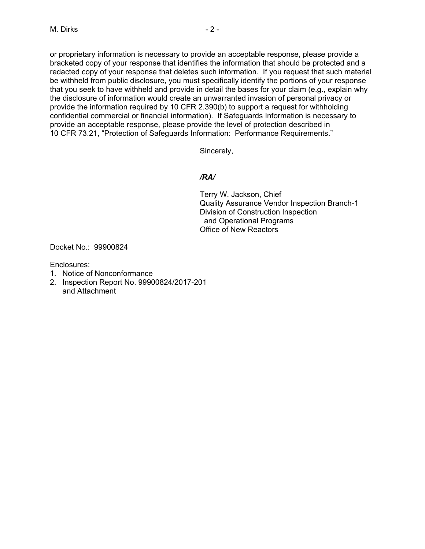or proprietary information is necessary to provide an acceptable response, please provide a bracketed copy of your response that identifies the information that should be protected and a redacted copy of your response that deletes such information. If you request that such material be withheld from public disclosure, you must specifically identify the portions of your response that you seek to have withheld and provide in detail the bases for your claim (e.g., explain why the disclosure of information would create an unwarranted invasion of personal privacy or provide the information required by 10 CFR 2.390(b) to support a request for withholding confidential commercial or financial information). If Safeguards Information is necessary to provide an acceptable response, please provide the level of protection described in 10 CFR 73.21, "Protection of Safeguards Information: Performance Requirements."

Sincerely,

# */RA/*

Terry W. Jackson, Chief Quality Assurance Vendor Inspection Branch-1 Division of Construction Inspection and Operational Programs Office of New Reactors

Docket No.: 99900824

Enclosures:

- 1. Notice of Nonconformance
- 2. Inspection Report No. 99900824/2017-201 and Attachment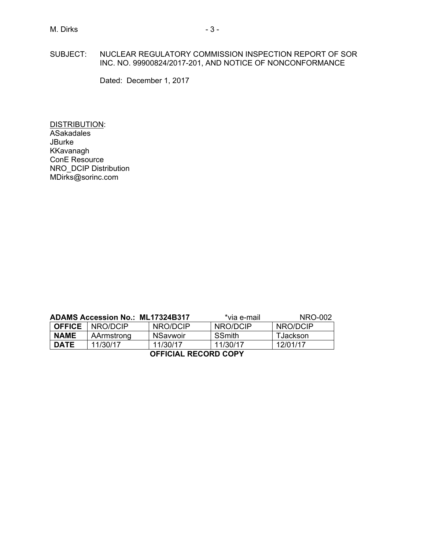## SUBJECT: NUCLEAR REGULATORY COMMISSION INSPECTION REPORT OF SOR INC. NO. 99900824/2017-201, AND NOTICE OF NONCONFORMANCE

Dated: December 1, 2017

DISTRIBUTION: **ASakadales** JBurke KKavanagh ConE Resource NRO\_DCIP Distribution MDirks@sorinc.com

| <b>ADAMS Accession No.: ML17324B317</b> |            |          | *via e-mail   | NRO-002  |  |
|-----------------------------------------|------------|----------|---------------|----------|--|
| I OFFICE                                | NRO/DCIP   | NRO/DCIP | NRO/DCIP      | NRO/DCIP |  |
| <b>NAME</b>                             | AArmstrong | NSavwoir | <b>SSmith</b> | TJackson |  |
| <b>DATE</b>                             | 11/30/17   | 11/30/17 | 11/30/17      | 12/01/17 |  |
| <b>OFFICIAL RECORD COPY</b>             |            |          |               |          |  |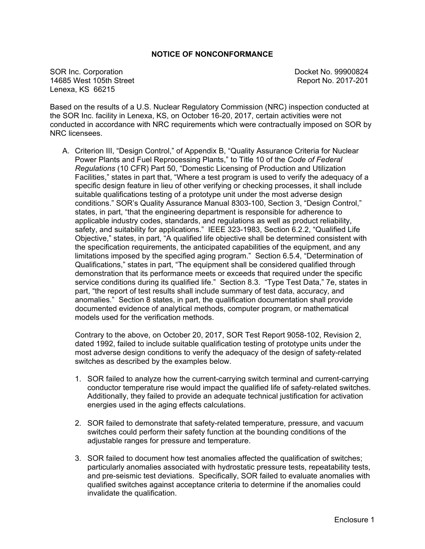# **NOTICE OF NONCONFORMANCE**

SOR Inc. Corporation **Docket No. 99900824** 14685 West 105th Street **Report No. 2017-201** Lenexa, KS 66215

Based on the results of a U.S. Nuclear Regulatory Commission (NRC) inspection conducted at the SOR Inc. facility in Lenexa, KS, on October 16-20, 2017, certain activities were not conducted in accordance with NRC requirements which were contractually imposed on SOR by NRC licensees.

A. Criterion III, "Design Control," of Appendix B, "Quality Assurance Criteria for Nuclear Power Plants and Fuel Reprocessing Plants," to Title 10 of the *Code of Federal Regulations* (10 CFR) Part 50, "Domestic Licensing of Production and Utilization Facilities," states in part that, "Where a test program is used to verify the adequacy of a specific design feature in lieu of other verifying or checking processes, it shall include suitable qualifications testing of a prototype unit under the most adverse design conditions." SOR's Quality Assurance Manual 8303-100, Section 3, "Design Control," states, in part, "that the engineering department is responsible for adherence to applicable industry codes, standards, and regulations as well as product reliability, safety, and suitability for applications." IEEE 323-1983, Section 6.2.2, "Qualified Life Objective," states, in part, "A qualified life objective shall be determined consistent with the specification requirements, the anticipated capabilities of the equipment, and any limitations imposed by the specified aging program." Section 6.5.4, "Determination of Qualifications," states in part, "The equipment shall be considered qualified through demonstration that its performance meets or exceeds that required under the specific service conditions during its qualified life." Section 8.3. "Type Test Data," 7e, states in part, "the report of test results shall include summary of test data, accuracy, and anomalies." Section 8 states, in part, the qualification documentation shall provide documented evidence of analytical methods, computer program, or mathematical models used for the verification methods.

Contrary to the above, on October 20, 2017, SOR Test Report 9058-102, Revision 2, dated 1992, failed to include suitable qualification testing of prototype units under the most adverse design conditions to verify the adequacy of the design of safety-related switches as described by the examples below.

- 1. SOR failed to analyze how the current-carrying switch terminal and current-carrying conductor temperature rise would impact the qualified life of safety-related switches. Additionally, they failed to provide an adequate technical justification for activation energies used in the aging effects calculations.
- 2. SOR failed to demonstrate that safety-related temperature, pressure, and vacuum switches could perform their safety function at the bounding conditions of the adjustable ranges for pressure and temperature.
- 3. SOR failed to document how test anomalies affected the qualification of switches; particularly anomalies associated with hydrostatic pressure tests, repeatability tests, and pre-seismic test deviations. Specifically, SOR failed to evaluate anomalies with qualified switches against acceptance criteria to determine if the anomalies could invalidate the qualification.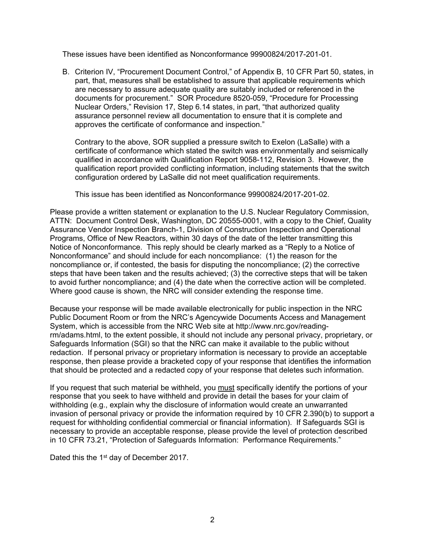These issues have been identified as Nonconformance 99900824/2017-201-01.

B. Criterion IV, "Procurement Document Control," of Appendix B, 10 CFR Part 50, states, in part, that, measures shall be established to assure that applicable requirements which are necessary to assure adequate quality are suitably included or referenced in the documents for procurement." SOR Procedure 8520-059, "Procedure for Processing Nuclear Orders," Revision 17, Step 6.14 states, in part, "that authorized quality assurance personnel review all documentation to ensure that it is complete and approves the certificate of conformance and inspection."

Contrary to the above, SOR supplied a pressure switch to Exelon (LaSalle) with a certificate of conformance which stated the switch was environmentally and seismically qualified in accordance with Qualification Report 9058-112, Revision 3. However, the qualification report provided conflicting information, including statements that the switch configuration ordered by LaSalle did not meet qualification requirements.

This issue has been identified as Nonconformance 99900824/2017-201-02.

Please provide a written statement or explanation to the U.S. Nuclear Regulatory Commission, ATTN: Document Control Desk, Washington, DC 20555-0001, with a copy to the Chief, Quality Assurance Vendor Inspection Branch-1, Division of Construction Inspection and Operational Programs, Office of New Reactors, within 30 days of the date of the letter transmitting this Notice of Nonconformance. This reply should be clearly marked as a "Reply to a Notice of Nonconformance" and should include for each noncompliance: (1) the reason for the noncompliance or, if contested, the basis for disputing the noncompliance; (2) the corrective steps that have been taken and the results achieved; (3) the corrective steps that will be taken to avoid further noncompliance; and (4) the date when the corrective action will be completed. Where good cause is shown, the NRC will consider extending the response time.

Because your response will be made available electronically for public inspection in the NRC Public Document Room or from the NRC's Agencywide Documents Access and Management System, which is accessible from the NRC Web site at http://www.nrc.gov/readingrm/adams.html, to the extent possible, it should not include any personal privacy, proprietary, or Safeguards Information (SGI) so that the NRC can make it available to the public without redaction. If personal privacy or proprietary information is necessary to provide an acceptable response, then please provide a bracketed copy of your response that identifies the information that should be protected and a redacted copy of your response that deletes such information.

If you request that such material be withheld, you must specifically identify the portions of your response that you seek to have withheld and provide in detail the bases for your claim of withholding (e.g., explain why the disclosure of information would create an unwarranted invasion of personal privacy or provide the information required by 10 CFR 2.390(b) to support a request for withholding confidential commercial or financial information). If Safeguards SGI is necessary to provide an acceptable response, please provide the level of protection described in 10 CFR 73.21, "Protection of Safeguards Information: Performance Requirements."

Dated this the 1<sup>st</sup> day of December 2017.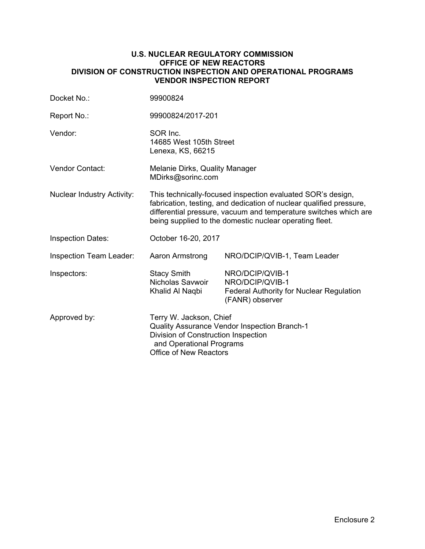## **U.S. NUCLEAR REGULATORY COMMISSION OFFICE OF NEW REACTORS DIVISION OF CONSTRUCTION INSPECTION AND OPERATIONAL PROGRAMS VENDOR INSPECTION REPORT**

| Docket No.:                       | 99900824                                                                                                                                                                                                                                                          |                                                                                                          |  |
|-----------------------------------|-------------------------------------------------------------------------------------------------------------------------------------------------------------------------------------------------------------------------------------------------------------------|----------------------------------------------------------------------------------------------------------|--|
| Report No.:                       | 99900824/2017-201                                                                                                                                                                                                                                                 |                                                                                                          |  |
| Vendor:                           | SOR Inc.<br>14685 West 105th Street<br>Lenexa, KS, 66215                                                                                                                                                                                                          |                                                                                                          |  |
| <b>Vendor Contact:</b>            | <b>Melanie Dirks, Quality Manager</b><br>MDirks@sorinc.com                                                                                                                                                                                                        |                                                                                                          |  |
| <b>Nuclear Industry Activity:</b> | This technically-focused inspection evaluated SOR's design,<br>fabrication, testing, and dedication of nuclear qualified pressure,<br>differential pressure, vacuum and temperature switches which are<br>being supplied to the domestic nuclear operating fleet. |                                                                                                          |  |
| <b>Inspection Dates:</b>          | October 16-20, 2017                                                                                                                                                                                                                                               |                                                                                                          |  |
| <b>Inspection Team Leader:</b>    | Aaron Armstrong                                                                                                                                                                                                                                                   | NRO/DCIP/QVIB-1, Team Leader                                                                             |  |
| Inspectors:                       | <b>Stacy Smith</b><br>Nicholas Savwoir<br>Khalid Al Naqbi                                                                                                                                                                                                         | NRO/DCIP/QVIB-1<br>NRO/DCIP/QVIB-1<br><b>Federal Authority for Nuclear Regulation</b><br>(FANR) observer |  |
| Approved by:                      | Terry W. Jackson, Chief<br>Quality Assurance Vendor Inspection Branch-1<br>Division of Construction Inspection<br>and Operational Programs<br><b>Office of New Reactors</b>                                                                                       |                                                                                                          |  |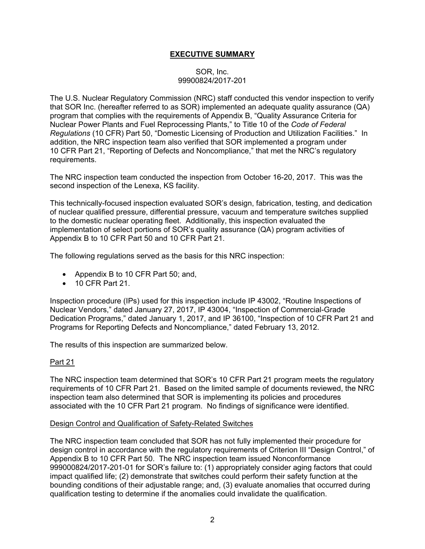# **EXECUTIVE SUMMARY**

## SOR, Inc. 99900824/2017-201

The U.S. Nuclear Regulatory Commission (NRC) staff conducted this vendor inspection to verify that SOR Inc. (hereafter referred to as SOR) implemented an adequate quality assurance (QA) program that complies with the requirements of Appendix B, "Quality Assurance Criteria for Nuclear Power Plants and Fuel Reprocessing Plants," to Title 10 of the *Code of Federal Regulations* (10 CFR) Part 50, "Domestic Licensing of Production and Utilization Facilities." In addition, the NRC inspection team also verified that SOR implemented a program under 10 CFR Part 21, "Reporting of Defects and Noncompliance," that met the NRC's regulatory requirements.

The NRC inspection team conducted the inspection from October 16-20, 2017. This was the second inspection of the Lenexa, KS facility.

This technically-focused inspection evaluated SOR's design, fabrication, testing, and dedication of nuclear qualified pressure, differential pressure, vacuum and temperature switches supplied to the domestic nuclear operating fleet. Additionally, this inspection evaluated the implementation of select portions of SOR's quality assurance (QA) program activities of Appendix B to 10 CFR Part 50 and 10 CFR Part 21.

The following regulations served as the basis for this NRC inspection:

- Appendix B to 10 CFR Part 50; and,
- 10 CFR Part 21.

Inspection procedure (IPs) used for this inspection include IP 43002, "Routine Inspections of Nuclear Vendors," dated January 27, 2017, IP 43004, "Inspection of Commercial-Grade Dedication Programs," dated January 1, 2017, and IP 36100, "Inspection of 10 CFR Part 21 and Programs for Reporting Defects and Noncompliance," dated February 13, 2012.

The results of this inspection are summarized below.

# Part 21

The NRC inspection team determined that SOR's 10 CFR Part 21 program meets the regulatory requirements of 10 CFR Part 21. Based on the limited sample of documents reviewed, the NRC inspection team also determined that SOR is implementing its policies and procedures associated with the 10 CFR Part 21 program. No findings of significance were identified.

## Design Control and Qualification of Safety-Related Switches

The NRC inspection team concluded that SOR has not fully implemented their procedure for design control in accordance with the regulatory requirements of Criterion III "Design Control," of Appendix B to 10 CFR Part 50. The NRC inspection team issued Nonconformance 999000824/2017-201-01 for SOR's failure to: (1) appropriately consider aging factors that could impact qualified life; (2) demonstrate that switches could perform their safety function at the bounding conditions of their adjustable range; and, (3) evaluate anomalies that occurred during qualification testing to determine if the anomalies could invalidate the qualification.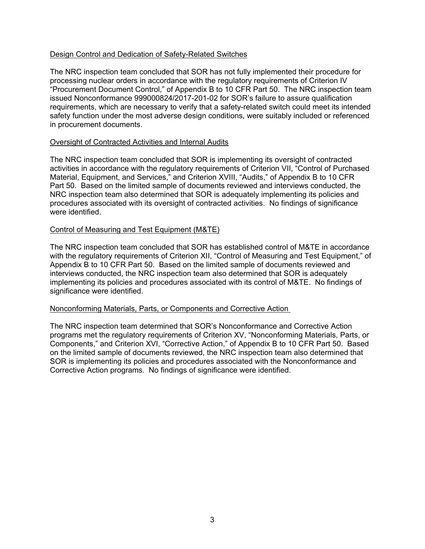# Design Control and Dedication of Safety-Related Switches

The NRC inspection team concluded that SOR has not fully implemented their procedure for processing nuclear orders in accordance with the regulatory requirements of Criterion IV "Procurement Document Control," of Appendix B to 10 CFR Part 50. The NRC inspection team issued Nonconformance 999000824/2017-201-02 for SOR's failure to assure qualification requirements, which are necessary to verify that a safety-related switch could meet its intended safety function under the most adverse design conditions, were suitably included or referenced in procurement documents.

#### Oversight of Contracted Activities and Internal Audits

The NRC inspection team concluded that SOR is implementing its oversight of contracted activities in accordance with the regulatory requirements of Criterion VII, "Control of Purchased Material, Equipment, and Services," and Criterion XVIII, "Audits," of Appendix B to 10 CFR Part 50. Based on the limited sample of documents reviewed and interviews conducted, the NRC inspection team also determined that SOR is adequately implementing its policies and procedures associated with its oversight of contracted activities. No findings of significance were identified.

#### Control of Measuring and Test Equipment (M&TE)

The NRC inspection team concluded that SOR has established control of M&TE in accordance with the regulatory requirements of Criterion XII, "Control of Measuring and Test Equipment," of Appendix B to 10 CFR Part 50. Based on the limited sample of documents reviewed and interviews conducted, the NRC inspection team also determined that SOR is adequately implementing its policies and procedures associated with its control of M&TE. No findings of significance were identified.

# Nonconforming Materials, Parts, or Components and Corrective Action

The NRC inspection team determined that SOR's Nonconformance and Corrective Action programs met the regulatory requirements of Criterion XV, "Nonconforming Materials, Parts, or Components," and Criterion XVI, "Corrective Action," of Appendix B to 10 CFR Part 50. Based on the limited sample of documents reviewed, the NRC inspection team also determined that SOR is implementing its policies and procedures associated with the Nonconformance and Corrective Action programs. No findings of significance were identified.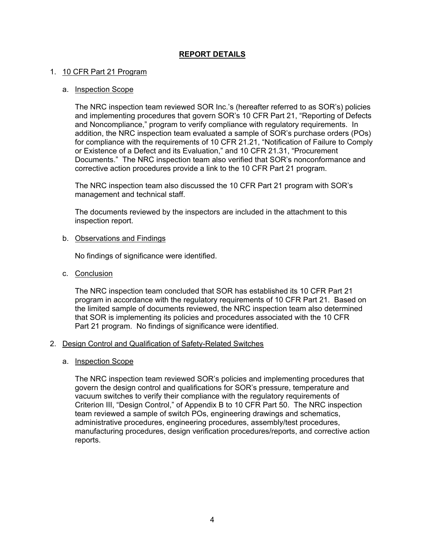# **REPORT DETAILS**

## 1. 10 CFR Part 21 Program

## a. Inspection Scope

The NRC inspection team reviewed SOR Inc.'s (hereafter referred to as SOR's) policies and implementing procedures that govern SOR's 10 CFR Part 21, "Reporting of Defects and Noncompliance," program to verify compliance with regulatory requirements. In addition, the NRC inspection team evaluated a sample of SOR's purchase orders (POs) for compliance with the requirements of 10 CFR 21.21, "Notification of Failure to Comply or Existence of a Defect and its Evaluation," and 10 CFR 21.31, "Procurement Documents." The NRC inspection team also verified that SOR's nonconformance and corrective action procedures provide a link to the 10 CFR Part 21 program.

The NRC inspection team also discussed the 10 CFR Part 21 program with SOR's management and technical staff.

The documents reviewed by the inspectors are included in the attachment to this inspection report.

#### b. Observations and Findings

No findings of significance were identified.

c. Conclusion

The NRC inspection team concluded that SOR has established its 10 CFR Part 21 program in accordance with the regulatory requirements of 10 CFR Part 21. Based on the limited sample of documents reviewed, the NRC inspection team also determined that SOR is implementing its policies and procedures associated with the 10 CFR Part 21 program. No findings of significance were identified.

#### 2. Design Control and Qualification of Safety-Related Switches

a. Inspection Scope

The NRC inspection team reviewed SOR's policies and implementing procedures that govern the design control and qualifications for SOR's pressure, temperature and vacuum switches to verify their compliance with the regulatory requirements of Criterion III, "Design Control," of Appendix B to 10 CFR Part 50. The NRC inspection team reviewed a sample of switch POs, engineering drawings and schematics, administrative procedures, engineering procedures, assembly/test procedures, manufacturing procedures, design verification procedures/reports, and corrective action reports.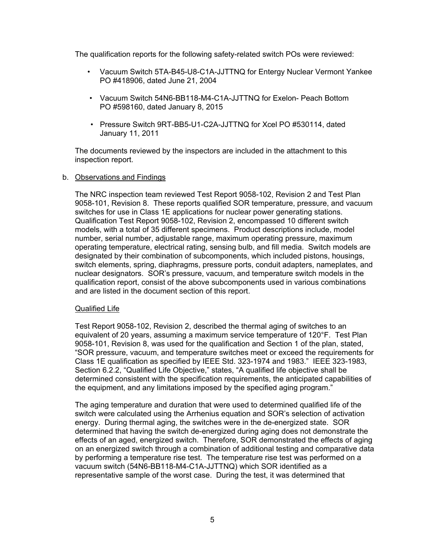The qualification reports for the following safety-related switch POs were reviewed:

- Vacuum Switch 5TA-B45-U8-C1A-JJTTNQ for Entergy Nuclear Vermont Yankee PO #418906, dated June 21, 2004
- Vacuum Switch 54N6-BB118-M4-C1A-JJTTNQ for Exelon- Peach Bottom PO #598160, dated January 8, 2015
- Pressure Switch 9RT-BB5-U1-C2A-JJTTNQ for Xcel PO #530114, dated January 11, 2011

The documents reviewed by the inspectors are included in the attachment to this inspection report.

#### b. Observations and Findings

The NRC inspection team reviewed Test Report 9058-102, Revision 2 and Test Plan 9058-101, Revision 8. These reports qualified SOR temperature, pressure, and vacuum switches for use in Class 1E applications for nuclear power generating stations. Qualification Test Report 9058-102, Revision 2, encompassed 10 different switch models, with a total of 35 different specimens. Product descriptions include, model number, serial number, adjustable range, maximum operating pressure, maximum operating temperature, electrical rating, sensing bulb, and fill media. Switch models are designated by their combination of subcomponents, which included pistons, housings, switch elements, spring, diaphragms, pressure ports, conduit adapters, nameplates, and nuclear designators. SOR's pressure, vacuum, and temperature switch models in the qualification report, consist of the above subcomponents used in various combinations and are listed in the document section of this report.

#### Qualified Life

Test Report 9058-102, Revision 2, described the thermal aging of switches to an equivalent of 20 years, assuming a maximum service temperature of 120°F. Test Plan 9058-101, Revision 8, was used for the qualification and Section 1 of the plan, stated, "SOR pressure, vacuum, and temperature switches meet or exceed the requirements for Class 1E qualification as specified by IEEE Std. 323-1974 and 1983." IEEE 323-1983, Section 6.2.2, "Qualified Life Objective," states, "A qualified life objective shall be determined consistent with the specification requirements, the anticipated capabilities of the equipment, and any limitations imposed by the specified aging program."

The aging temperature and duration that were used to determined qualified life of the switch were calculated using the Arrhenius equation and SOR's selection of activation energy. During thermal aging, the switches were in the de-energized state. SOR determined that having the switch de-energized during aging does not demonstrate the effects of an aged, energized switch. Therefore, SOR demonstrated the effects of aging on an energized switch through a combination of additional testing and comparative data by performing a temperature rise test. The temperature rise test was performed on a vacuum switch (54N6-BB118-M4-C1A-JJTTNQ) which SOR identified as a representative sample of the worst case. During the test, it was determined that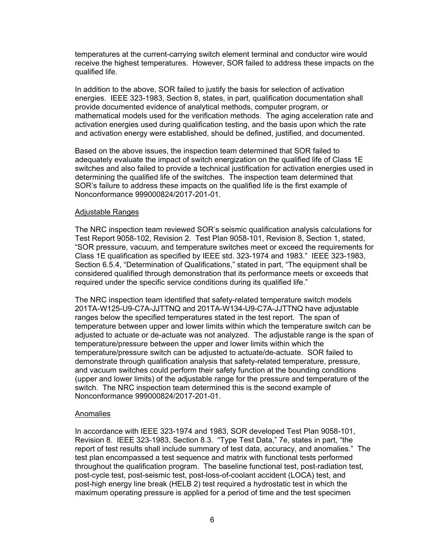temperatures at the current-carrying switch element terminal and conductor wire would receive the highest temperatures. However, SOR failed to address these impacts on the qualified life.

In addition to the above, SOR failed to justify the basis for selection of activation energies. IEEE 323-1983, Section 8, states, in part, qualification documentation shall provide documented evidence of analytical methods, computer program, or mathematical models used for the verification methods. The aging acceleration rate and activation energies used during qualification testing, and the basis upon which the rate and activation energy were established, should be defined, justified, and documented.

Based on the above issues, the inspection team determined that SOR failed to adequately evaluate the impact of switch energization on the qualified life of Class 1E switches and also failed to provide a technical justification for activation energies used in determining the qualified life of the switches. The inspection team determined that SOR's failure to address these impacts on the qualified life is the first example of Nonconformance 999000824/2017-201-01.

#### Adjustable Ranges

The NRC inspection team reviewed SOR's seismic qualification analysis calculations for Test Report 9058-102, Revision 2. Test Plan 9058-101, Revision 8, Section 1, stated, "SOR pressure, vacuum, and temperature switches meet or exceed the requirements for Class 1E qualification as specified by IEEE std. 323-1974 and 1983." IEEE 323-1983, Section 6.5.4, "Determination of Qualifications," stated in part, "The equipment shall be considered qualified through demonstration that its performance meets or exceeds that required under the specific service conditions during its qualified life."

The NRC inspection team identified that safety-related temperature switch models 201TA-W125-U9-C7A-JJTTNQ and 201TA-W134-U9-C7A-JJTTNQ have adjustable ranges below the specified temperatures stated in the test report. The span of temperature between upper and lower limits within which the temperature switch can be adjusted to actuate or de-actuate was not analyzed. The adjustable range is the span of temperature/pressure between the upper and lower limits within which the temperature/pressure switch can be adjusted to actuate/de-actuate. SOR failed to demonstrate through qualification analysis that safety-related temperature, pressure, and vacuum switches could perform their safety function at the bounding conditions (upper and lower limits) of the adjustable range for the pressure and temperature of the switch. The NRC inspection team determined this is the second example of Nonconformance 999000824/2017-201-01.

#### Anomalies

In accordance with IEEE 323-1974 and 1983, SOR developed Test Plan 9058-101, Revision 8. IEEE 323-1983, Section 8.3. "Type Test Data," 7e, states in part, "the report of test results shall include summary of test data, accuracy, and anomalies." The test plan encompassed a test sequence and matrix with functional tests performed throughout the qualification program. The baseline functional test, post-radiation test, post-cycle test, post-seismic test, post-loss-of-coolant accident (LOCA) test, and post-high energy line break (HELB 2) test required a hydrostatic test in which the maximum operating pressure is applied for a period of time and the test specimen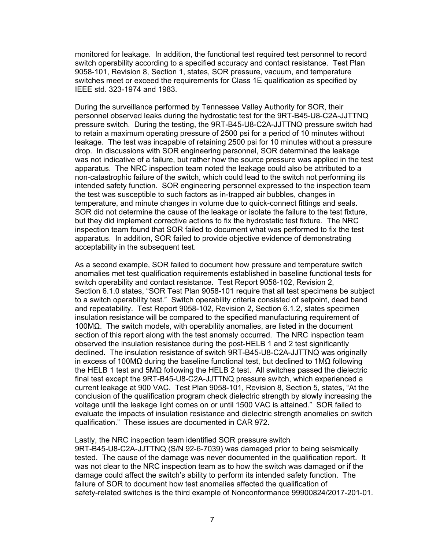monitored for leakage. In addition, the functional test required test personnel to record switch operability according to a specified accuracy and contact resistance. Test Plan 9058-101, Revision 8, Section 1, states, SOR pressure, vacuum, and temperature switches meet or exceed the requirements for Class 1E qualification as specified by IEEE std. 323-1974 and 1983.

During the surveillance performed by Tennessee Valley Authority for SOR, their personnel observed leaks during the hydrostatic test for the 9RT-B45-U8-C2A-JJTTNQ pressure switch. During the testing, the 9RT-B45-U8-C2A-JJTTNQ pressure switch had to retain a maximum operating pressure of 2500 psi for a period of 10 minutes without leakage. The test was incapable of retaining 2500 psi for 10 minutes without a pressure drop. In discussions with SOR engineering personnel, SOR determined the leakage was not indicative of a failure, but rather how the source pressure was applied in the test apparatus. The NRC inspection team noted the leakage could also be attributed to a non-catastrophic failure of the switch, which could lead to the switch not performing its intended safety function. SOR engineering personnel expressed to the inspection team the test was susceptible to such factors as in-trapped air bubbles, changes in temperature, and minute changes in volume due to quick-connect fittings and seals. SOR did not determine the cause of the leakage or isolate the failure to the test fixture, but they did implement corrective actions to fix the hydrostatic test fixture. The NRC inspection team found that SOR failed to document what was performed to fix the test apparatus. In addition, SOR failed to provide objective evidence of demonstrating acceptability in the subsequent test.

As a second example, SOR failed to document how pressure and temperature switch anomalies met test qualification requirements established in baseline functional tests for switch operability and contact resistance. Test Report 9058-102, Revision 2, Section 6.1.0 states, "SOR Test Plan 9058-101 require that all test specimens be subject to a switch operability test." Switch operability criteria consisted of setpoint, dead band and repeatability. Test Report 9058-102, Revision 2, Section 6.1.2, states specimen insulation resistance will be compared to the specified manufacturing requirement of 100MΩ. The switch models, with operability anomalies, are listed in the document section of this report along with the test anomaly occurred. The NRC inspection team observed the insulation resistance during the post-HELB 1 and 2 test significantly declined. The insulation resistance of switch 9RT-B45-U8-C2A-JJTTNQ was originally in excess of 100MΩ during the baseline functional test, but declined to 1MΩ following the HELB 1 test and 5MΩ following the HELB 2 test. All switches passed the dielectric final test except the 9RT-B45-U8-C2A-JJTTNQ pressure switch, which experienced a current leakage at 900 VAC. Test Plan 9058-101, Revision 8, Section 5, states, "At the conclusion of the qualification program check dielectric strength by slowly increasing the voltage until the leakage light comes on or until 1500 VAC is attained." SOR failed to evaluate the impacts of insulation resistance and dielectric strength anomalies on switch qualification." These issues are documented in CAR 972.

Lastly, the NRC inspection team identified SOR pressure switch 9RT-B45-U8-C2A-JJTTNQ (S/N 92-6-7039) was damaged prior to being seismically tested. The cause of the damage was never documented in the qualification report. It was not clear to the NRC inspection team as to how the switch was damaged or if the damage could affect the switch's ability to perform its intended safety function. The failure of SOR to document how test anomalies affected the qualification of safety-related switches is the third example of Nonconformance 99900824/2017-201-01.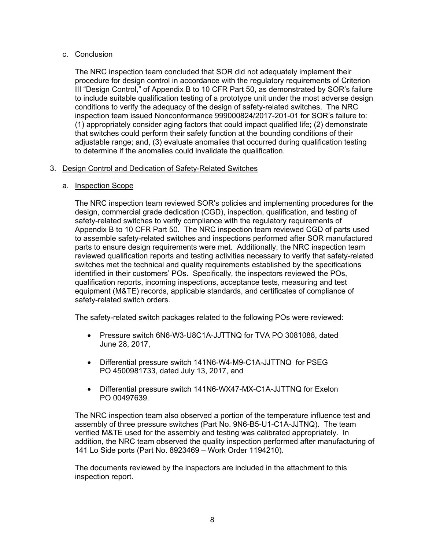# c. Conclusion

The NRC inspection team concluded that SOR did not adequately implement their procedure for design control in accordance with the regulatory requirements of Criterion III "Design Control," of Appendix B to 10 CFR Part 50, as demonstrated by SOR's failure to include suitable qualification testing of a prototype unit under the most adverse design conditions to verify the adequacy of the design of safety-related switches. The NRC inspection team issued Nonconformance 999000824/2017-201-01 for SOR's failure to: (1) appropriately consider aging factors that could impact qualified life; (2) demonstrate that switches could perform their safety function at the bounding conditions of their adjustable range; and, (3) evaluate anomalies that occurred during qualification testing to determine if the anomalies could invalidate the qualification.

# 3. Design Control and Dedication of Safety-Related Switches

# a. Inspection Scope

The NRC inspection team reviewed SOR's policies and implementing procedures for the design, commercial grade dedication (CGD), inspection, qualification, and testing of safety-related switches to verify compliance with the regulatory requirements of Appendix B to 10 CFR Part 50. The NRC inspection team reviewed CGD of parts used to assemble safety-related switches and inspections performed after SOR manufactured parts to ensure design requirements were met. Additionally, the NRC inspection team reviewed qualification reports and testing activities necessary to verify that safety-related switches met the technical and quality requirements established by the specifications identified in their customers' POs. Specifically, the inspectors reviewed the POs, qualification reports, incoming inspections, acceptance tests, measuring and test equipment (M&TE) records, applicable standards, and certificates of compliance of safety-related switch orders.

The safety-related switch packages related to the following POs were reviewed:

- Pressure switch 6N6-W3-U8C1A-JJTTNQ for TVA PO 3081088, dated June 28, 2017,
- Differential pressure switch 141N6-W4-M9-C1A-JJTTNQ for PSEG PO 4500981733, dated July 13, 2017, and
- Differential pressure switch 141N6-WX47-MX-C1A-JJTTNQ for Exelon PO 00497639.

The NRC inspection team also observed a portion of the temperature influence test and assembly of three pressure switches (Part No. 9N6-B5-U1-C1A-JJTNQ). The team verified M&TE used for the assembly and testing was calibrated appropriately. In addition, the NRC team observed the quality inspection performed after manufacturing of 141 Lo Side ports (Part No. 8923469 – Work Order 1194210).

The documents reviewed by the inspectors are included in the attachment to this inspection report.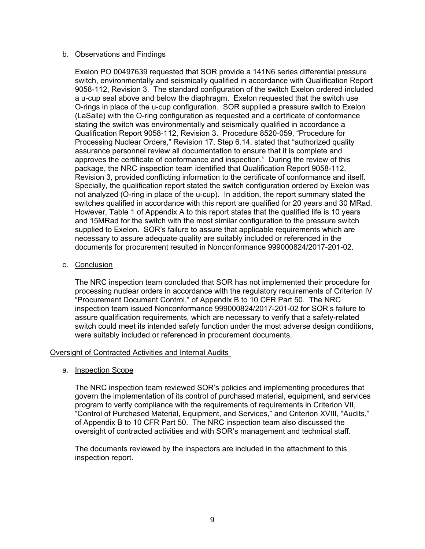## b. Observations and Findings

Exelon PO 00497639 requested that SOR provide a 141N6 series differential pressure switch, environmentally and seismically qualified in accordance with Qualification Report 9058-112, Revision 3. The standard configuration of the switch Exelon ordered included a u-cup seal above and below the diaphragm. Exelon requested that the switch use O-rings in place of the u-cup configuration. SOR supplied a pressure switch to Exelon (LaSalle) with the O-ring configuration as requested and a certificate of conformance stating the switch was environmentally and seismically qualified in accordance a Qualification Report 9058-112, Revision 3. Procedure 8520-059, "Procedure for Processing Nuclear Orders," Revision 17, Step 6.14, stated that "authorized quality assurance personnel review all documentation to ensure that it is complete and approves the certificate of conformance and inspection." During the review of this package, the NRC inspection team identified that Qualification Report 9058-112, Revision 3, provided conflicting information to the certificate of conformance and itself. Specially, the qualification report stated the switch configuration ordered by Exelon was not analyzed (O-ring in place of the u-cup). In addition, the report summary stated the switches qualified in accordance with this report are qualified for 20 years and 30 MRad. However, Table 1 of Appendix A to this report states that the qualified life is 10 years and 15MRad for the switch with the most similar configuration to the pressure switch supplied to Exelon. SOR's failure to assure that applicable requirements which are necessary to assure adequate quality are suitably included or referenced in the documents for procurement resulted in Nonconformance 999000824/2017-201-02.

## c. Conclusion

The NRC inspection team concluded that SOR has not implemented their procedure for processing nuclear orders in accordance with the regulatory requirements of Criterion IV "Procurement Document Control," of Appendix B to 10 CFR Part 50. The NRC inspection team issued Nonconformance 999000824/2017-201-02 for SOR's failure to assure qualification requirements, which are necessary to verify that a safety-related switch could meet its intended safety function under the most adverse design conditions, were suitably included or referenced in procurement documents.

# Oversight of Contracted Activities and Internal Audits

#### a. Inspection Scope

The NRC inspection team reviewed SOR's policies and implementing procedures that govern the implementation of its control of purchased material, equipment, and services program to verify compliance with the requirements of requirements in Criterion VII, "Control of Purchased Material, Equipment, and Services," and Criterion XVIII, "Audits," of Appendix B to 10 CFR Part 50. The NRC inspection team also discussed the oversight of contracted activities and with SOR's management and technical staff.

The documents reviewed by the inspectors are included in the attachment to this inspection report.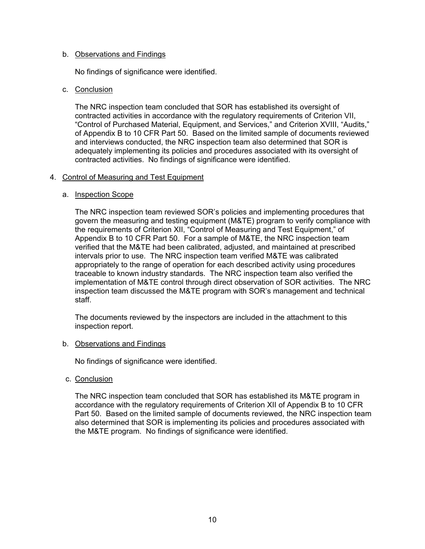## b. Observations and Findings

No findings of significance were identified.

## c. Conclusion

The NRC inspection team concluded that SOR has established its oversight of contracted activities in accordance with the regulatory requirements of Criterion VII, "Control of Purchased Material, Equipment, and Services," and Criterion XVIII, "Audits," of Appendix B to 10 CFR Part 50. Based on the limited sample of documents reviewed and interviews conducted, the NRC inspection team also determined that SOR is adequately implementing its policies and procedures associated with its oversight of contracted activities. No findings of significance were identified.

## 4. Control of Measuring and Test Equipment

## a. Inspection Scope

The NRC inspection team reviewed SOR's policies and implementing procedures that govern the measuring and testing equipment (M&TE) program to verify compliance with the requirements of Criterion XII, "Control of Measuring and Test Equipment," of Appendix B to 10 CFR Part 50. For a sample of M&TE, the NRC inspection team verified that the M&TE had been calibrated, adjusted, and maintained at prescribed intervals prior to use. The NRC inspection team verified M&TE was calibrated appropriately to the range of operation for each described activity using procedures traceable to known industry standards. The NRC inspection team also verified the implementation of M&TE control through direct observation of SOR activities. The NRC inspection team discussed the M&TE program with SOR's management and technical staff.

The documents reviewed by the inspectors are included in the attachment to this inspection report.

#### b. Observations and Findings

No findings of significance were identified.

c. Conclusion

The NRC inspection team concluded that SOR has established its M&TE program in accordance with the regulatory requirements of Criterion XII of Appendix B to 10 CFR Part 50. Based on the limited sample of documents reviewed, the NRC inspection team also determined that SOR is implementing its policies and procedures associated with the M&TE program. No findings of significance were identified.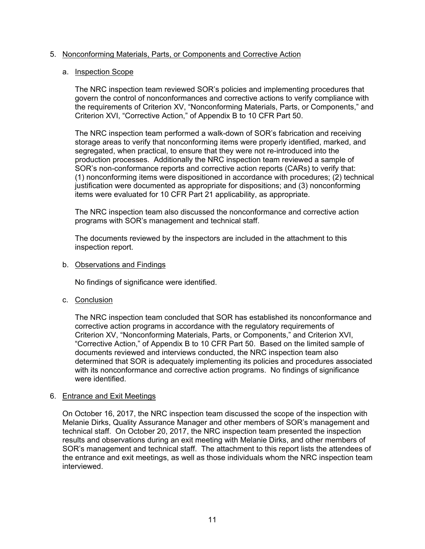## 5. Nonconforming Materials, Parts, or Components and Corrective Action

## a. Inspection Scope

The NRC inspection team reviewed SOR's policies and implementing procedures that govern the control of nonconformances and corrective actions to verify compliance with the requirements of Criterion XV, "Nonconforming Materials, Parts, or Components," and Criterion XVI, "Corrective Action," of Appendix B to 10 CFR Part 50.

The NRC inspection team performed a walk-down of SOR's fabrication and receiving storage areas to verify that nonconforming items were properly identified, marked, and segregated, when practical, to ensure that they were not re-introduced into the production processes. Additionally the NRC inspection team reviewed a sample of SOR's non-conformance reports and corrective action reports (CARs) to verify that: (1) nonconforming items were dispositioned in accordance with procedures; (2) technical justification were documented as appropriate for dispositions; and (3) nonconforming items were evaluated for 10 CFR Part 21 applicability, as appropriate.

The NRC inspection team also discussed the nonconformance and corrective action programs with SOR's management and technical staff.

The documents reviewed by the inspectors are included in the attachment to this inspection report.

#### b. Observations and Findings

No findings of significance were identified.

c. Conclusion

The NRC inspection team concluded that SOR has established its nonconformance and corrective action programs in accordance with the regulatory requirements of Criterion XV, "Nonconforming Materials, Parts, or Components," and Criterion XVI, "Corrective Action," of Appendix B to 10 CFR Part 50. Based on the limited sample of documents reviewed and interviews conducted, the NRC inspection team also determined that SOR is adequately implementing its policies and procedures associated with its nonconformance and corrective action programs. No findings of significance were identified.

#### 6. Entrance and Exit Meetings

On October 16, 2017, the NRC inspection team discussed the scope of the inspection with Melanie Dirks, Quality Assurance Manager and other members of SOR's management and technical staff. On October 20, 2017, the NRC inspection team presented the inspection results and observations during an exit meeting with Melanie Dirks, and other members of SOR's management and technical staff. The attachment to this report lists the attendees of the entrance and exit meetings, as well as those individuals whom the NRC inspection team interviewed.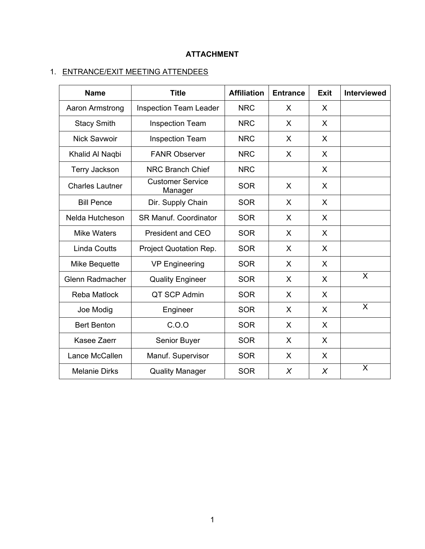# **ATTACHMENT**

# 1. ENTRANCE/EXIT MEETING ATTENDEES

| <b>Name</b>            | <b>Title</b>                       | <b>Affiliation</b> | <b>Entrance</b> | <b>Exit</b> | <b>Interviewed</b> |
|------------------------|------------------------------------|--------------------|-----------------|-------------|--------------------|
| Aaron Armstrong        | <b>Inspection Team Leader</b>      | <b>NRC</b>         | $\sf X$         | X           |                    |
| <b>Stacy Smith</b>     | <b>Inspection Team</b>             | <b>NRC</b>         | X               | X           |                    |
| <b>Nick Savwoir</b>    | <b>Inspection Team</b>             | <b>NRC</b>         | X               | X           |                    |
| Khalid Al Naqbi        | <b>FANR Observer</b>               | <b>NRC</b>         | X               | X           |                    |
| <b>Terry Jackson</b>   | <b>NRC Branch Chief</b>            | <b>NRC</b>         |                 | X           |                    |
| <b>Charles Lautner</b> | <b>Customer Service</b><br>Manager | <b>SOR</b>         | X               | X           |                    |
| <b>Bill Pence</b>      | Dir. Supply Chain                  | <b>SOR</b>         | $\sf X$         | X           |                    |
| Nelda Hutcheson        | <b>SR Manuf. Coordinator</b>       | <b>SOR</b>         | X               | X           |                    |
| <b>Mike Waters</b>     | <b>President and CEO</b>           | <b>SOR</b>         | X               | X           |                    |
| <b>Linda Coutts</b>    | Project Quotation Rep.             | <b>SOR</b>         | X               | X           |                    |
| Mike Bequette          | <b>VP Engineering</b>              | <b>SOR</b>         | X               | X           |                    |
| Glenn Radmacher        | <b>Quality Engineer</b>            | <b>SOR</b>         | X               | X           | X                  |
| <b>Reba Matlock</b>    | QT SCP Admin                       | <b>SOR</b>         | X               | X           |                    |
| Joe Modig              | Engineer                           | <b>SOR</b>         | X               | X           | X                  |
| <b>Bert Benton</b>     | C.0.0                              | <b>SOR</b>         | X               | X           |                    |
| Kasee Zaerr            | Senior Buyer                       | <b>SOR</b>         | X               | X           |                    |
| Lance McCallen         | Manuf. Supervisor                  | <b>SOR</b>         | X               | X           |                    |
| <b>Melanie Dirks</b>   | <b>Quality Manager</b>             | <b>SOR</b>         | $\chi$          | $\chi$      | X                  |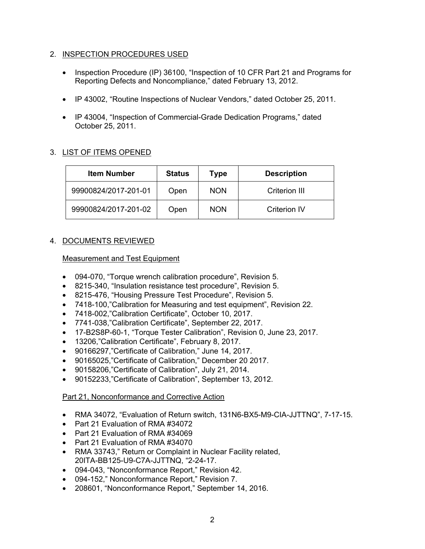# 2. INSPECTION PROCEDURES USED

- Inspection Procedure (IP) 36100, "Inspection of 10 CFR Part 21 and Programs for Reporting Defects and Noncompliance," dated February 13, 2012.
- IP 43002, "Routine Inspections of Nuclear Vendors," dated October 25, 2011.
- IP 43004, "Inspection of Commercial-Grade Dedication Programs," dated October 25, 2011.

# 3. LIST OF ITEMS OPENED

| <b>Item Number</b>   | <b>Status</b> | Type       | <b>Description</b>  |
|----------------------|---------------|------------|---------------------|
| 99900824/2017-201-01 | Open          | <b>NON</b> | Criterion III       |
| 99900824/2017-201-02 | Open          | <b>NON</b> | <b>Criterion IV</b> |

# 4. DOCUMENTS REVIEWED

# Measurement and Test Equipment

- 094-070, "Torque wrench calibration procedure", Revision 5.
- 8215-340, "Insulation resistance test procedure", Revision 5.
- 8215-476, "Housing Pressure Test Procedure", Revision 5.
- 7418-100,"Calibration for Measuring and test equipment", Revision 22.
- 7418-002,"Calibration Certificate", October 10, 2017.
- 7741-038,"Calibration Certificate", September 22, 2017.
- 17-B2S8P-60-1, "Torque Tester Calibration", Revision 0, June 23, 2017.
- 13206,"Calibration Certificate", February 8, 2017.
- 90166297,"Certificate of Calibration," June 14, 2017.
- 90165025,"Certificate of Calibration," December 20 2017.
- 90158206,"Certificate of Calibration", July 21, 2014.
- 90152233,"Certificate of Calibration", September 13, 2012.

# Part 21, Nonconformance and Corrective Action

- RMA 34072, "Evaluation of Return switch, 131N6-BX5-M9-CIA-JJTTNQ", 7-17-15.
- Part 21 Evaluation of RMA #34072
- Part 21 Evaluation of RMA #34069
- Part 21 Evaluation of RMA #34070
- RMA 33743," Return or Complaint in Nuclear Facility related, 20ITA-BB125-U9-C7A-JJTTNQ, "2-24-17.
- 094-043, "Nonconformance Report," Revision 42.
- 094-152," Nonconformance Report," Revision 7.
- 208601, "Nonconformance Report," September 14, 2016.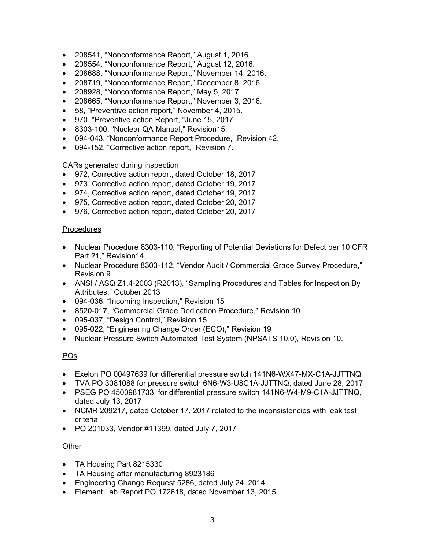- 208541, "Nonconformance Report," August 1, 2016.
- 208554, "Nonconformance Report," August 12, 2016.
- 208688, "Nonconformance Report," November 14, 2016.
- 208719, "Nonconformance Report," December 8, 2016.
- 208928, "Nonconformance Report," May 5, 2017.
- 208665, "Nonconformance Report," November 3, 2016.
- 58, "Preventive action report," November 4, 2015.
- 970, "Preventive action Report, "June 15, 2017.
- 8303-100, "Nuclear QA Manual," Revision15.
- 094-043, "Nonconformance Report Procedure," Revision 42.
- 094-152, "Corrective action report," Revision 7.

# CARs generated during inspection

- 972, Corrective action report, dated October 18, 2017
- 973, Corrective action report, dated October 19, 2017
- 974, Corrective action report, dated October 19, 2017
- 975, Corrective action report, dated October 20, 2017
- 976, Corrective action report, dated October 20, 2017

# **Procedures**

- Nuclear Procedure 8303-110, "Reporting of Potential Deviations for Defect per 10 CFR Part 21," Revision14
- Nuclear Procedure 8303-112, "Vendor Audit / Commercial Grade Survey Procedure," Revision 9
- ANSI / ASQ Z1.4-2003 (R2013), "Sampling Procedures and Tables for Inspection By Attributes," October 2013
- 094-036, "Incoming Inspection," Revision 15
- 8520-017, "Commercial Grade Dedication Procedure," Revision 10
- 095-037, "Design Control," Revision 15
- 095-022, "Engineering Change Order (ECO)," Revision 19
- Nuclear Pressure Switch Automated Test System (NPSATS 10.0), Revision 10.

# POs

- Exelon PO 00497639 for differential pressure switch 141N6-WX47-MX-C1A-JJTTNQ
- TVA PO 3081088 for pressure switch 6N6-W3-U8C1A-JJTTNQ, dated June 28, 2017
- PSEG PO 4500981733, for differential pressure switch 141N6-W4-M9-C1A-JJTTNQ, dated July 13, 2017
- NCMR 209217, dated October 17, 2017 related to the inconsistencies with leak test criteria
- PO 201033, Vendor #11399, dated July 7, 2017

# **Other**

- TA Housing Part 8215330
- TA Housing after manufacturing 8923186
- Engineering Change Request 5286, dated July 24, 2014
- Element Lab Report PO 172618, dated November 13, 2015